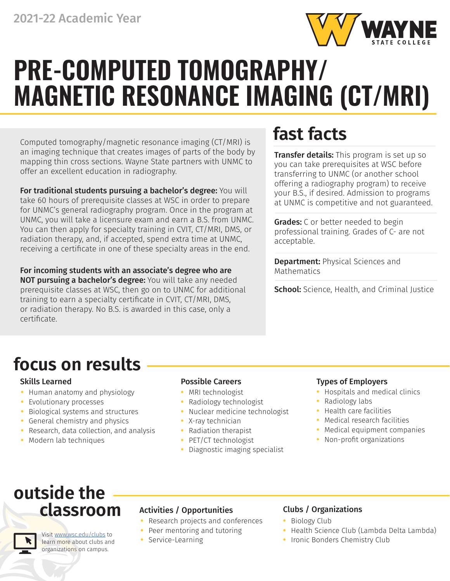

# **PRE-COMPUTED TOMOGRAPHY/ MAGNETIC RESONANCE IMAGING (CT/MRI)**

Computed tomography/magnetic resonance imaging (CT/MRI) is an imaging technique that creates images of parts of the body by mapping thin cross sections. Wayne State partners with UNMC to offer an excellent education in radiography.

For traditional students pursuing a bachelor's degree: You will take 60 hours of prerequisite classes at WSC in order to prepare for UNMC's general radiography program. Once in the program at UNMC, you will take a licensure exam and earn a B.S. from UNMC. You can then apply for specialty training in CVIT, CT/MRI, DMS, or radiation therapy, and, if accepted, spend extra time at UNMC, receiving a certificate in one of these specialty areas in the end.

For incoming students with an associate's degree who are NOT pursuing a bachelor's degree: You will take any needed prerequisite classes at WSC, then go on to UNMC for additional training to earn a specialty certificate in CVIT, CT/MRI, DMS, or radiation therapy. No B.S. is awarded in this case, only a certificate.

## **fast facts**

**Transfer details:** This program is set up so you can take prerequisites at WSC before transferring to UNMC (or another school offering a radiography program) to receive your B.S., if desired. Admission to programs at UNMC is competitive and not guaranteed.

**Grades:** C or better needed to begin professional training. Grades of C- are not acceptable.

Department: Physical Sciences and Mathematics

School: Science, Health, and Criminal Justice

## **focus on results**

- **•** Human anatomy and physiology
- **•** Evolutionary processes
- **•** Biological systems and structures
- **•** General chemistry and physics
- **•** Research, data collection, and analysis
- **•** Modern lab techniques

- **•** MRI technologist
- **•** Radiology technologist
- **•** Nuclear medicine technologist
- **•** X-ray technician
- **•** Radiation therapist
- **•** PET/CT technologist
- **•** Diagnostic imaging specialist

### Skills Learned **Possible Careers Possible Careers Possible Careers Possible Careers**

- **•** Hospitals and medical clinics
- **•** Radiology labs
- **•** Health care facilities
- **•** Medical research facilities
- **•** Medical equipment companies
- **•** Non-profit organizations

## **outside the classroom**

Visit [www.wsc.edu/clubs](https://www.wsc.edu/clubs) to

- **•** Research projects and conferences
- **•** Peer mentoring and tutoring
- **•** Service-Learning

## Activities / Opportunities Clubs / Organizations

- **•** Biology Club
- **•** Health Science Club (Lambda Delta Lambda)
- **•** Ironic Bonders Chemistry Club

learn more about clubs and organizations on campus.